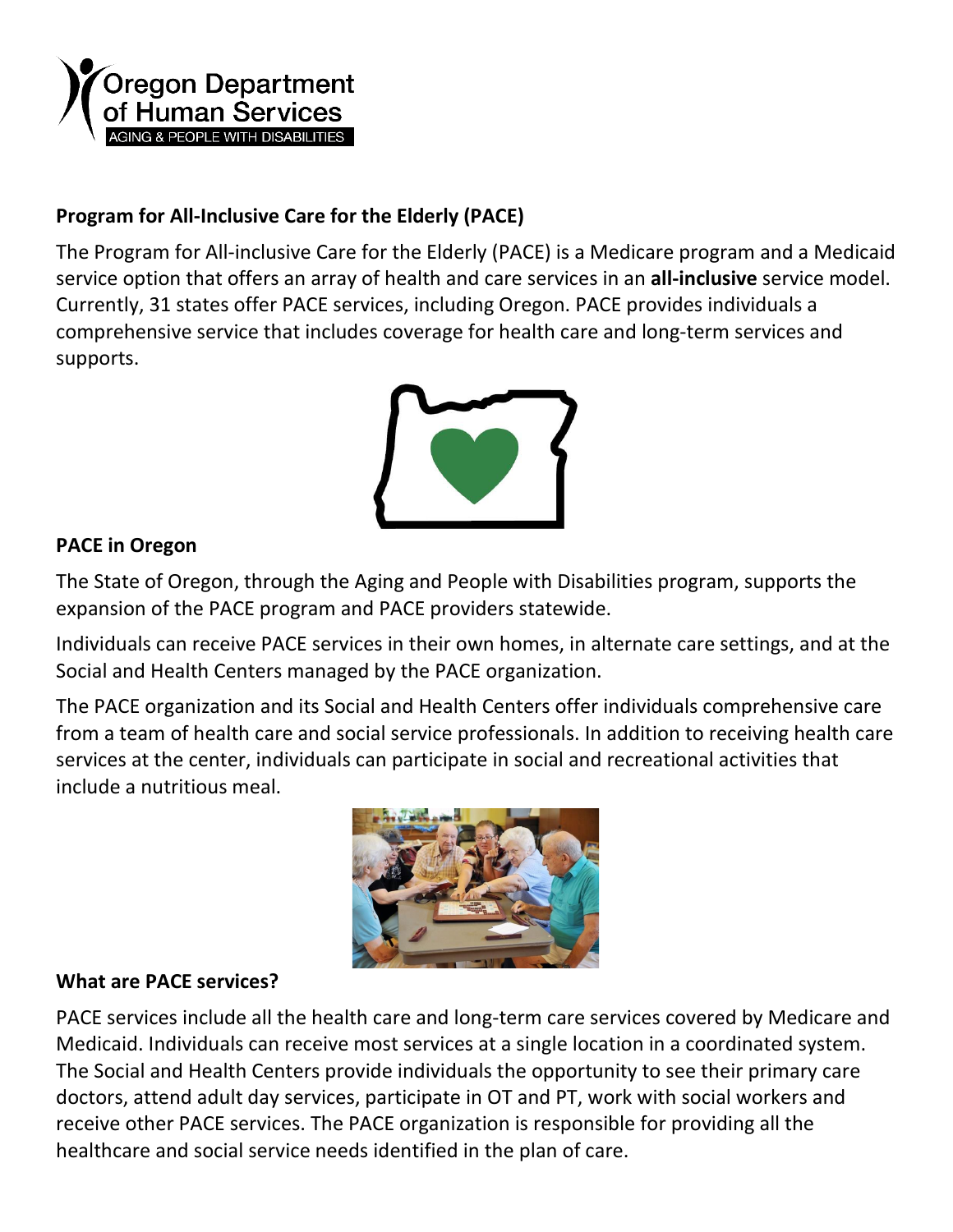

## **Program for All-Inclusive Care for the Elderly (PACE)**

The Program for All-inclusive Care for the Elderly (PACE) is a Medicare program and a Medicaid service option that offers an array of health and care services in an **all-inclusive** service model. Currently, 31 states offer PACE services, including Oregon. PACE provides individuals a comprehensive service that includes coverage for health care and long-term services and supports.



## **PACE in Oregon**

The State of Oregon, through the Aging and People with Disabilities program, supports the expansion of the PACE program and PACE providers statewide.

Individuals can receive PACE services in their own homes, in alternate care settings, and at the Social and Health Centers managed by the PACE organization.

The PACE organization and its Social and Health Centers offer individuals comprehensive care from a team of health care and social service professionals. In addition to receiving health care services at the center, individuals can participate in social and recreational activities that include a nutritious meal.



## **What are PACE services?**

PACE services include all the health care and long-term care services covered by Medicare and Medicaid. Individuals can receive most services at a single location in a coordinated system. The Social and Health Centers provide individuals the opportunity to see their primary care doctors, attend adult day services, participate in OT and PT, work with social workers and receive other PACE services. The PACE organization is responsible for providing all the healthcare and social service needs identified in the plan of care.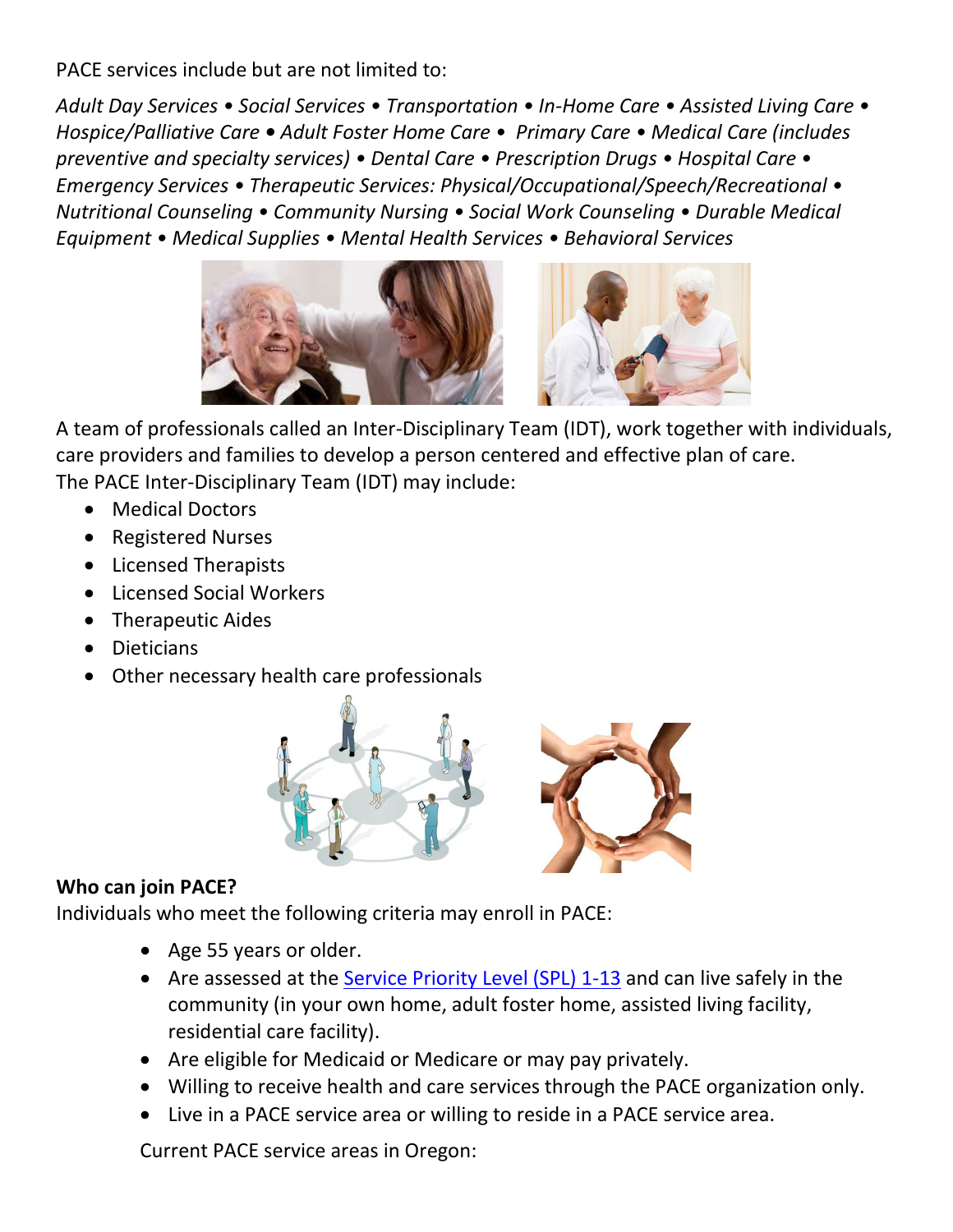PACE services include but are not limited to:

*Adult Day Services • Social Services • Transportation • In-Home Care • Assisted Living Care • Hospice/Palliative Care • Adult Foster Home Care • Primary Care • Medical Care (includes preventive and specialty services) • Dental Care • Prescription Drugs • Hospital Care • Emergency Services • Therapeutic Services: Physical/Occupational/Speech/Recreational • Nutritional Counseling • Community Nursing • Social Work Counseling • Durable Medical Equipment • Medical Supplies • Mental Health Services • Behavioral Services*



A team of professionals called an Inter-Disciplinary Team (IDT), work together with individuals, care providers and families to develop a person centered and effective plan of care. The PACE Inter-Disciplinary Team (IDT) may include:

- Medical Doctors
- Registered Nurses
- Licensed Therapists
- Licensed Social Workers
- Therapeutic Aides
- Dieticians
- Other necessary health care professionals

![](_page_1_Picture_11.jpeg)

## **Who can join PACE?**

Individuals who meet the following criteria may enroll in PACE:

- Age 55 years or older.
- Are assessed at the [Service Priority Level \(SPL\)](https://www.oregon.gov/DHS/SENIORS-DISABILITIES/LTC/Pages/ADL.aspx) 1-13 and can live safely in the community (in your own home, adult foster home, assisted living facility, residential care facility).
- Are eligible for Medicaid or Medicare or may pay privately.
- Willing to receive health and care services through the PACE organization only.
- Live in a PACE service area or willing to reside in a PACE service area.

Current PACE service areas in Oregon: